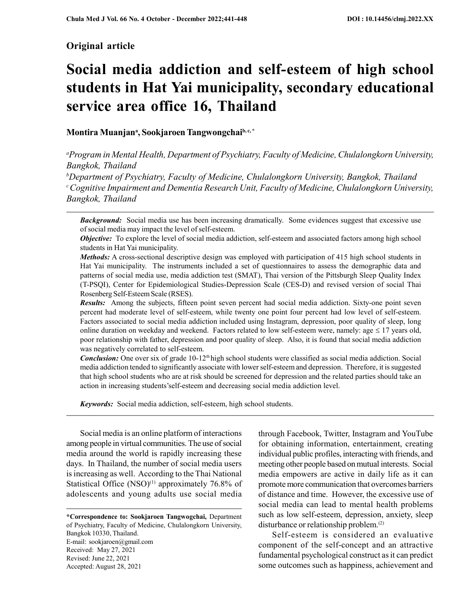# Original article

# Social media addiction and self-esteem of high school students in Hat Yai municipality, secondary educational service area office 16, Thailand

# Montira Muanjan<sup>a</sup>, Sookjaroen Tangwongchai<sup>b, c,\*</sup>

<sup>a</sup>Program in Mental Health, Department of Psychiatry, Faculty of Medicine, Chulalongkorn University, Bangkok, Thailand

<sup>b</sup>Department of Psychiatry, Faculty of Medicine, Chulalongkorn University, Bangkok, Thailand  $c$ Cognitive Impairment and Dementia Research Unit, Faculty of Medicine, Chulalongkorn University, Bangkok, Thailand

**Background:** Social media use has been increasing dramatically. Some evidences suggest that excessive use of social media may impact the level of self-esteem.

**Objective:** To explore the level of social media addiction, self-esteem and associated factors among high school students in Hat Yai municipality.

Methods: A cross-sectional descriptive design was employed with participation of 415 high school students in Hat Yai municipality. The instruments included a set of questionnaires to assess the demographic data and patterns of social media use, media addiction test (SMAT), Thai version of the Pittsburgh Sleep Quality Index (T-PSQI), Center for Epidemiological Studies-Depression Scale (CES-D) and revised version of social Thai Rosenberg Self-Esteem Scale (RSES).

Results: Among the subjects, fifteen point seven percent had social media addiction. Sixty-one point seven percent had moderate level of self-esteem, while twenty one point four percent had low level of self-esteem. Factors associated to social media addiction included using Instagram, depression, poor quality of sleep, long online duration on weekday and weekend. Factors related to low self-esteem were, namely: age  $\leq 17$  years old, poor relationship with father, depression and poor quality of sleep. Also, it is found that social media addiction was negatively correlated to self-esteem.

**Conclusion:** One over six of grade  $10-12<sup>th</sup>$  high school students were classified as social media addiction. Social media addiction tended to significantly associate with lower self-esteem and depression. Therefore, it is suggested that high school students who are at risk should be screened for depression and the related parties should take an action in increasing students'self-esteem and decreasing social media addiction level.

Keywords: Social media addiction, self-esteem, high school students.

Social media is an online platform of interactions among people in virtual communities. The use of social media around the world is rapidly increasing these days. In Thailand, the number of social media users is increasing as well. According to the Thai National Statistical Office  $(NSO)^{(1)}$  approximately 76.8% of adolescents and young adults use social media

\*Correspondence to: Sookjaroen Tangwogchai, Department of Psychiatry, Faculty of Medicine, Chulalongkorn University, Bangkok 10330, Thailand. E-mail: sookjaroen@gmail.com Received: May 27, 2021 Revised: June 22, 2021 Accepted: August 28, 2021

through Facebook, Twitter, Instagram and YouTube for obtaining information, entertainment, creating individual public profiles, interacting with friends, and meeting other people based on mutual interests. Social media empowers are active in daily life as it can promote more communication that overcomes barriers of distance and time. However, the excessive use of social media can lead to mental health problems such as low self-esteem, depression, anxiety, sleep disturbance or relationship problem.(2)

Self-esteem is considered an evaluative component of the self-concept and an attractive fundamental psychological construct as it can predict some outcomes such as happiness, achievement and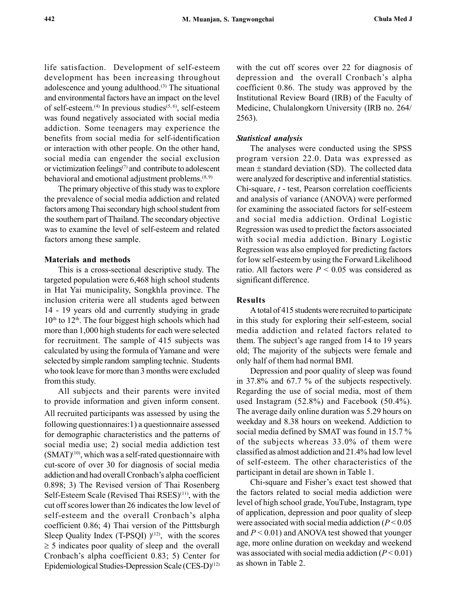life satisfaction. Development of self-esteem development has been increasing throughout adolescence and young adulthood.(3) The situational and environmental factors have an impact on the level of self-esteem.<sup>(4)</sup> In previous studies<sup> $(5, 6)$ </sup>, self-esteem was found negatively associated with social media addiction. Some teenagers may experience the benefits from social media for self-identification or interaction with other people. On the other hand, social media can engender the social exclusion or victimization feelings $(7)$  and contribute to adolescent behavioral and emotional adjustment problems. $(8, 9)$ 

The primary objective of this study was to explore the prevalence of social media addiction and related factors among Thai secondary high school student from the southern part of Thailand. The secondary objective was to examine the level of self-esteem and related factors among these sample.

#### Materials and methods

This is a cross-sectional descriptive study. The targeted population were 6,468 high school students in Hat Yai municipality, Songkhla province. The inclusion criteria were all students aged between 14 - 19 years old and currently studying in grade  $10<sup>th</sup>$  to  $12<sup>th</sup>$ . The four biggest high schools which had more than 1,000 high students for each were selected for recruitment. The sample of 415 subjects was calculated by using the formula of Yamane and were selected by simple random sampling technic. Students who took leave for more than 3 months were excluded from this study.

All subjects and their parents were invited to provide information and given inform consent. All recruited participants was assessed by using the following questionnaires:1) a questionnaire assessed for demographic characteristics and the patterns of social media use; 2) social media addiction test  $(SMAT)^{(10)}$ , which was a self-rated questionnaire with cut-score of over 30 for diagnosis of social media addiction and had overall Cronbach's alpha coefficient 0.898; 3) The Revised version of Thai Rosenberg Self-Esteem Scale (Revised Thai RSES)(11), with the cut off scores lower than 26 indicates the low level of self-esteem and the overall Cronbach's alpha coefficient 0.86; 4) Thai version of the Pitttsburgh Sleep Quality Index (T-PSQI)  $)(12)$ , with the scores  $\geq$  5 indicates poor quality of sleep and the overall Cronbach's alpha coefficient 0.83; 5) Center for Epidemiological Studies-Depression Scale (CES-D)(12) with the cut off scores over 22 for diagnosis of depression and the overall Cronbach's alpha coefficient 0.86. The study was approved by the Institutional Review Board (IRB) of the Faculty of Medicine, Chulalongkorn University (IRB no. 264/ 2563).

#### Statistical analysis

The analyses were conducted using the SPSS program version 22.0. Data was expressed as mean  $\pm$  standard deviation (SD). The collected data were analyzed for descriptive and inferential statistics. Chi-square, t - test, Pearson correlation coefficients and analysis of variance (ANOVA) were performed for examining the associated factors for self-esteem and social media addiction. Ordinal Logistic Regression was used to predict the factors associated with social media addiction. Binary Logistic Regression was also employed for predicting factors for low self-esteem by using the Forward Likelihood ratio. All factors were  $P < 0.05$  was considered as significant difference.

# Results

A total of 415 students were recruited to participate in this study for exploring their self-esteem, social media addiction and related factors related to them. The subject's age ranged from 14 to 19 years old; The majority of the subjects were female and only half of them had normal BMI.

Depression and poor quality of sleep was found in 37.8% and 67.7 % of the subjects respectively. Regarding the use of social media, most of them used Instagram (52.8%) and Facebook (50.4%). The average daily online duration was 5.29 hours on weekday and 8.38 hours on weekend. Addiction to social media defined by SMAT was found in 15.7 % of the subjects whereas 33.0% of them were classified as almost addiction and 21.4% had low level of self-esteem. The other characteristics of the participant in detail are shown in Table 1.

Chi-square and Fisher's exact test showed that the factors related to social media addiction were level of high school grade, YouTube, Instagram, type of application, depression and poor quality of sleep were associated with social media addiction ( $P < 0.05$ ) and  $P < 0.01$ ) and ANOVA test showed that younger age, more online duration on weekday and weekend was associated with social media addiction  $(P < 0.01)$ as shown in Table 2.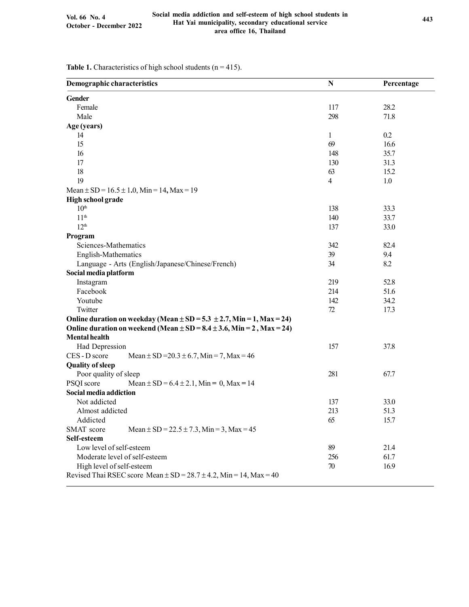| <b>Demographic characteristics</b>                                            | N              | Percentage |
|-------------------------------------------------------------------------------|----------------|------------|
| <b>Gender</b>                                                                 |                |            |
| Female                                                                        | 117            | 28.2       |
| Male                                                                          | 298            | 71.8       |
| Age (years)                                                                   |                |            |
| 14                                                                            | 1              | 0.2        |
| 15                                                                            | 69             | 16.6       |
| 16                                                                            | 148            | 35.7       |
| 17                                                                            | 130            | 31.3       |
| 18                                                                            | 63             | 15.2       |
| 19                                                                            | $\overline{4}$ | 1.0        |
| Mean $\pm$ SD = 16.5 $\pm$ 1.0, Min = 14, Max = 19                            |                |            |
| High school grade                                                             |                |            |
| 10 <sup>th</sup>                                                              | 138            | 33.3       |
| 11 <sup>th</sup>                                                              | 140            | 33.7       |
| 12 <sup>th</sup>                                                              | 137            | 33.0       |
| Program                                                                       |                |            |
| Sciences-Mathematics                                                          | 342            | 82.4       |
| English-Mathematics                                                           | 39             | 9.4        |
| Language - Arts (English/Japanese/Chinese/French)                             | 34             | 8.2        |
| Social media platform                                                         |                |            |
| Instagram                                                                     | 219            | 52.8       |
| Facebook                                                                      | 214            | 51.6       |
| Youtube                                                                       | 142            | 34.2       |
| Twitter                                                                       | 72             | 17.3       |
| Online duration on weekday (Mean $\pm$ SD = 5.3 $\pm$ 2.7, Min = 1, Max = 24) |                |            |
| Online duration on weekend (Mean $\pm$ SD = 8.4 $\pm$ 3.6, Min = 2, Max = 24) |                |            |
| <b>Mental health</b>                                                          |                |            |
| Had Depression                                                                | 157            | 37.8       |
| CES - D score<br>Mean $\pm$ SD = 20.3 $\pm$ 6.7, Min = 7, Max = 46            |                |            |
| <b>Quality of sleep</b>                                                       |                |            |
| Poor quality of sleep                                                         | 281            | 67.7       |
| PSQI score<br>Mean $\pm$ SD = 6.4 $\pm$ 2.1, Min = 0, Max = 14                |                |            |
| Social media addiction                                                        |                |            |
| Not addicted                                                                  | 137            | 33.0       |
| Almost addicted                                                               | 213            | 51.3       |
| Addicted                                                                      | 65             | 15.7       |
| Mean $\pm$ SD = 22.5 $\pm$ 7.3, Min = 3, Max = 45<br>SMAT score               |                |            |
| Self-esteem                                                                   |                |            |
| Low level of self-esteem                                                      | 89             | 21.4       |
| Moderate level of self-esteem                                                 | 256            | 61.7       |
| High level of self-esteem                                                     | 70             | 16.9       |
| Revised Thai RSEC score Mean $\pm$ SD = 28.7 $\pm$ 4.2, Min = 14, Max = 40    |                |            |
|                                                                               |                |            |

Table 1. Characteristics of high school students ( $n = 415$ ).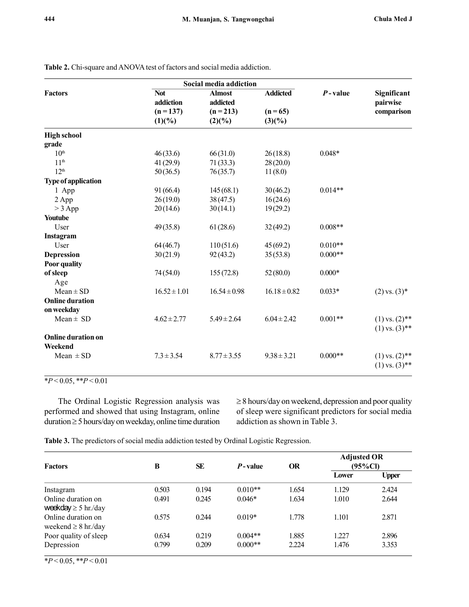|                            |                  | Social media addiction |                  | $P$ -value | Significant                              |
|----------------------------|------------------|------------------------|------------------|------------|------------------------------------------|
| <b>Factors</b>             | <b>Not</b>       | <b>Almost</b>          | <b>Addicted</b>  |            |                                          |
|                            | addiction        | addicted               |                  |            | pairwise                                 |
|                            | $(n = 137)$      | $(n = 213)$            | $(n = 65)$       |            | comparison                               |
|                            | (1)(%)           | (2)(%)                 | (3)(%)           |            |                                          |
| <b>High school</b>         |                  |                        |                  |            |                                          |
| grade                      |                  |                        |                  |            |                                          |
| 10 <sup>th</sup>           | 46(33.6)         | 66(31.0)               | 26(18.8)         | $0.048*$   |                                          |
| 11 <sup>th</sup>           | 41(29.9)         | 71(33.3)               | 28(20.0)         |            |                                          |
| 12 <sup>th</sup>           | 50(36.5)         | 76(35.7)               | 11(8.0)          |            |                                          |
| <b>Type of application</b> |                  |                        |                  |            |                                          |
| 1 App                      | 91(66.4)         | 145(68.1)              | 30(46.2)         | $0.014**$  |                                          |
| 2 App                      | 26(19.0)         | 38(47.5)               | 16(24.6)         |            |                                          |
| $>$ 3 App                  | 20(14.6)         | 30(14.1)               | 19(29.2)         |            |                                          |
| Youtube                    |                  |                        |                  |            |                                          |
| User                       | 49(35.8)         | 61(28.6)               | 32(49.2)         | $0.008**$  |                                          |
| Instagram                  |                  |                        |                  |            |                                          |
| User                       | 64(46.7)         | 110(51.6)              | 45(69.2)         | $0.010**$  |                                          |
| <b>Depression</b>          | 30(21.9)         | 92(43.2)               | 35(53.8)         | $0.000**$  |                                          |
| Poor quality               |                  |                        |                  |            |                                          |
| of sleep                   | 74(54.0)         | 155(72.8)              | 52(80.0)         | $0.000*$   |                                          |
| Age                        |                  |                        |                  |            |                                          |
| $Mean \pm SD$              | $16.52 \pm 1.01$ | $16.54 \pm 0.98$       | $16.18 \pm 0.82$ | $0.033*$   | $(2)$ vs. $(3)$ *                        |
| <b>Online duration</b>     |                  |                        |                  |            |                                          |
| on weekday                 |                  |                        |                  |            |                                          |
| $Mean \pm SD$              | $4.62 \pm 2.77$  | $5.49 \pm 2.64$        | $6.04 \pm 2.42$  | $0.001**$  | $(1)$ vs. $(2)$ **<br>$(1)$ vs. $(3)$ ** |
| Online duration on         |                  |                        |                  |            |                                          |
| Weekend                    |                  |                        |                  |            |                                          |
| Mean $\pm$ SD              | $7.3 \pm 3.54$   | $8.77 \pm 3.55$        | $9.38 \pm 3.21$  | $0.000**$  | $(1)$ vs. $(2)$ **                       |
|                            |                  |                        |                  |            | $(1)$ vs. $(3)$ **                       |

Table 2. Chi-square and ANOVA test of factors and social media addiction.

 $*P < 0.05, **P < 0.01$ 

The Ordinal Logistic Regression analysis was performed and showed that using Instagram, online  $duration \geq 5$  hours/day on weekday, online time duration  $\geq$  8 hours/day on weekend, depression and poor quality of sleep were significant predictors for social media addiction as shown in Table 3.

Table 3. The predictors of social media addiction tested by Ordinal Logistic Regression.

| <b>Factors</b>                                 | B     | <b>SE</b> | $P$ -value | OR    | <b>Adjusted OR</b><br>(95%Cl) |              |
|------------------------------------------------|-------|-----------|------------|-------|-------------------------------|--------------|
|                                                |       |           |            |       | Lower                         | <b>Upper</b> |
| Instagram                                      | 0.503 | 0.194     | $0.010**$  | 1.654 | 1.129                         | 2.424        |
| Online duration on<br>weekday $\geq$ 5 hr./day | 0.491 | 0.245     | $0.046*$   | 1.634 | 1.010                         | 2.644        |
| Online duration on<br>weekend $\geq 8$ hr./day | 0.575 | 0.244     | $0.019*$   | 1.778 | 1.101                         | 2.871        |
| Poor quality of sleep                          | 0.634 | 0.219     | $0.004**$  | 1.885 | 1.227                         | 2.896        |
| Depression                                     | 0.799 | 0.209     | $0.000**$  | 2.224 | 1.476                         | 3.353        |

 $*P < 0.05, **P < 0.01$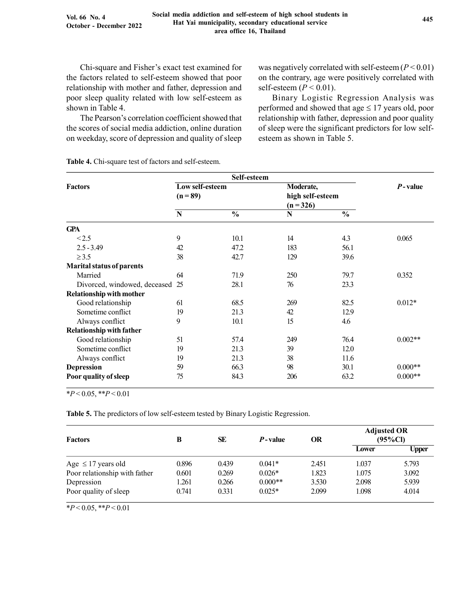Chi-square and Fisher's exact test examined for the factors related to self-esteem showed that poor relationship with mother and father, depression and poor sleep quality related with low self-esteem as shown in Table 4.

The Pearson's correlation coefficient showed that the scores of social media addiction, online duration on weekday, score of depression and quality of sleep was negatively correlated with self-esteem  $(P < 0.01)$ on the contrary, age were positively correlated with self-esteem  $(P < 0.01)$ .

Binary Logistic Regression Analysis was performed and showed that age  $\leq 17$  years old, poor relationship with father, depression and poor quality of sleep were the significant predictors for low selfesteem as shown in Table 5.

Table 4. Chi-square test of factors and self-esteem.

|                                  |                 | Self-esteem   |                  |               |            |
|----------------------------------|-----------------|---------------|------------------|---------------|------------|
| <b>Factors</b>                   | Low self-esteem |               | Moderate,        |               | $P$ -value |
|                                  | $(n = 89)$      |               | high self-esteem |               |            |
|                                  |                 |               | $(n=326)$        |               |            |
|                                  | N               | $\frac{0}{0}$ | N                | $\frac{0}{0}$ |            |
| <b>GPA</b>                       |                 |               |                  |               |            |
| <2.5                             | 9               | 10.1          | 14               | 4.3           | 0.065      |
| $2.5 - 3.49$                     | 42              | 47.2          | 183              | 56.1          |            |
| $\geq$ 3.5                       | 38              | 42.7          | 129              | 39.6          |            |
| <b>Marital status of parents</b> |                 |               |                  |               |            |
| Married                          | 64              | 71.9          | 250              | 79.7          | 0.352      |
| Divorced, windowed, deceased 25  |                 | 28.1          | 76               | 23.3          |            |
| <b>Relationship with mother</b>  |                 |               |                  |               |            |
| Good relationship                | 61              | 68.5          | 269              | 82.5          | $0.012*$   |
| Sometime conflict                | 19              | 21.3          | 42               | 12.9          |            |
| Always conflict                  | 9               | 10.1          | 15               | 4.6           |            |
| <b>Relationship with father</b>  |                 |               |                  |               |            |
| Good relationship                | 51              | 57.4          | 249              | 76.4          | $0.002**$  |
| Sometime conflict                | 19              | 21.3          | 39               | 12.0          |            |
| Always conflict                  | 19              | 21.3          | 38               | 11.6          |            |
| <b>Depression</b>                | 59              | 66.3          | 98               | 30.1          | $0.000**$  |
| Poor quality of sleep            | 75              | 84.3          | 206              | 63.2          | $0.000**$  |

 $*P < 0.05$ ,  $*P < 0.01$ 

Table 5. The predictors of low self-esteem tested by Binary Logistic Regression.

| <b>Factors</b>                | B     | SE    | $P$ -value | <b>OR</b> | <b>Adjusted OR</b><br>$(95\%CI)$ |       |
|-------------------------------|-------|-------|------------|-----------|----------------------------------|-------|
|                               |       |       |            |           | Lower                            | Upper |
| Age $\leq$ 17 years old       | 0.896 | 0.439 | $0.041*$   | 2.451     | 1.037                            | 5.793 |
| Poor relationship with father | 0.601 | 0.269 | $0.026*$   | 1.823     | 1.075                            | 3.092 |
| Depression                    | 1.261 | 0.266 | $0.000**$  | 3.530     | 2.098                            | 5.939 |
| Poor quality of sleep         | 0.741 | 0.331 | $0.025*$   | 2.099     | 1.098                            | 4.014 |

 $*P < 0.05, **P < 0.01$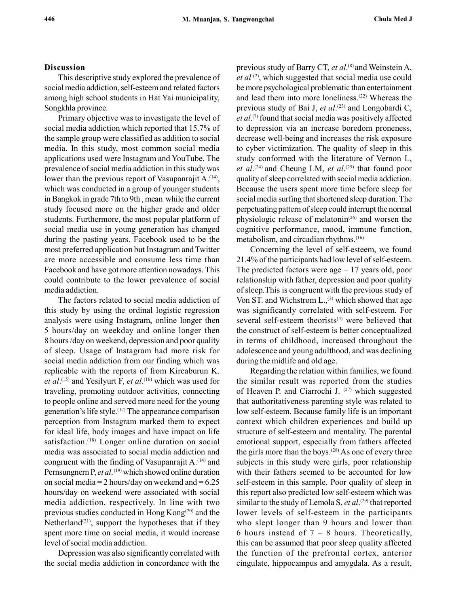# Discussion

This descriptive study explored the prevalence of social media addiction, self-esteem and related factors among high school students in Hat Yai municipality, Songkhla province.

Primary objective was to investigate the level of social media addiction which reported that 15.7% of the sample group were classified as addition to social media. In this study, most common social media applications used were Instagram and YouTube. The prevalence of social media addiction in this study was lower than the previous report of Vasupanrajit  $A^{(14)}$ , which was conducted in a group of younger students in Bangkok in grade 7th to 9th , mean while the current study focused more on the higher grade and older students. Furthermore, the most popular platform of social media use in young generation has changed during the pasting years. Facebook used to be the most preferred application but Instagram and Twitter are more accessible and consume less time than Facebook and have got more attention nowadays. This could contribute to the lower prevalence of social media addiction.

The factors related to social media addiction of this study by using the ordinal logistic regression analysis were using Instagram, online longer then 5 hours/day on weekday and online longer then 8 hours /day on weekend, depression and poor quality of sleep. Usage of Instagram had more risk for social media addiction from our finding which was replicable with the reports of from Kircaburun K. *et al.*<sup>(15)</sup> and Yesilyurt F, *et al.*<sup>(16)</sup> which was used for traveling, promoting outdoor activities, connecting to people online and served more need for the young generation's life style.(17) The appearance comparison perception from Instagram marked them to expect for ideal life, body images and have impact on life satisfaction.<sup>(18)</sup> Longer online duration on social media was associated to social media addiction and congruent with the finding of Vasupanrajit A.<sup>(14)</sup> and Pernsungnern P, et al.<sup>(19)</sup> which showed online duration on social media = 2 hours/day on weekend and =  $6.25$ hours/day on weekend were associated with social media addiction, respectively. In line with two previous studies conducted in Hong Kong<sup>(20)</sup> and the Netherland<sup>(21)</sup>, support the hypotheses that if they spent more time on social media, it would increase level of social media addiction.

Depression was also significantly correlated with the social media addiction in concordance with the

previous study of Barry CT, et al.<sup>(8)</sup> and Weinstein A, et al  $(2)$ , which suggested that social media use could be more psychological problematic than entertainment and lead them into more loneliness.(22) Whereas the previous study of Bai J, et al.<sup>(23)</sup> and Longobardi C, et al.<sup>(7)</sup> found that social media was positively affected to depression via an increase boredom proneness, decrease well-being and increases the risk exposure to cyber victimization. The quality of sleep in this study conformed with the literature of Vernon L, et  $al$ .<sup>(24)</sup> and Cheung LM, et  $al$ .<sup>(25)</sup> that found poor quality of sleep correlated with social media addiction. Because the users spent more time before sleep for social media surfing that shortened sleep duration. The perpetuating pattern of sleep could interrupt the normal physiologic release of melatonin<sup> $(26)$ </sup> and worsen the cognitive performance, mood, immune function, metabolism, and circadian rhythms.(16)

Concerning the level of self-esteem, we found 21.4% of the participants had low level of self-esteem. The predicted factors were  $age = 17$  years old, poor relationship with father, depression and poor quality of sleep.This is congruent with the previous study of Von ST. and Wichstrøm L.,<sup>(3)</sup> which showed that age was significantly correlated with self-esteem. For several self-esteem theorists<sup>(4)</sup> were believed that the construct of self-esteem is better conceptualized in terms of childhood, increased throughout the adolescence and young adulthood, and was declining during the midlife and old age.

Regarding the relation within families, we found the similar result was reported from the studies of Heaven P. and Ciarrochi J. (27) which suggested that authoritativeness parenting style was related to low self-esteem. Because family life is an important context which children experiences and build up structure of self-esteem and mentality. The parental emotional support, especially from fathers affected the girls more than the boys.<sup> $(28)$ </sup> As one of every three subjects in this study were girls, poor relationship with their fathers seemed to be accounted for low self-esteem in this sample. Poor quality of sleep in this report also predicted low self-esteem which was similar to the study of Lemola S, et  $al.^{(29)}$  that reported lower levels of self-esteem in the participants who slept longer than 9 hours and lower than 6 hours instead of  $7 - 8$  hours. Theoretically, this can be assumed that poor sleep quality affected the function of the prefrontal cortex, anterior cingulate, hippocampus and amygdala. As a result,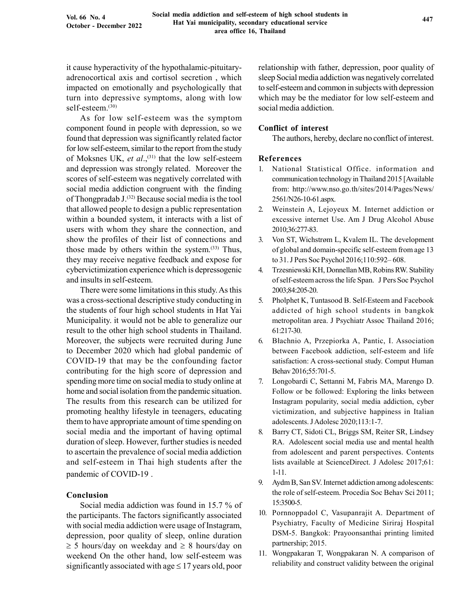it cause hyperactivity of the hypothalamic-pituitaryadrenocortical axis and cortisol secretion , which impacted on emotionally and psychologically that turn into depressive symptoms, along with low self-esteem.(30)

As for low self-esteem was the symptom component found in people with depression, so we found that depression was significantly related factor for low self-esteem, similar to the report from the study of Moksnes UK, et al.,<sup>(31)</sup> that the low self-esteem and depression was strongly related. Moreover the scores of self-esteem was negatively correlated with social media addiction congruent with the finding of Thongpradab J.(32) Because social media is the tool that allowed people to design a public representation within a bounded system, it interacts with a list of users with whom they share the connection, and show the profiles of their list of connections and those made by others within the system.<sup>(33)</sup> Thus, they may receive negative feedback and expose for cybervictimization experience which is depressogenic and insults in self-esteem.

There were some limitations in this study. As this was a cross-sectional descriptive study conducting in the students of four high school students in Hat Yai Municipality. it would not be able to generalize our result to the other high school students in Thailand. Moreover, the subjects were recruited during June to December 2020 which had global pandemic of COVID-19 that may be the confounding factor contributing for the high score of depression and spending more time on social media to study online at home and social isolation from the pandemic situation. The results from this research can be utilized for promoting healthy lifestyle in teenagers, educating them to have appropriate amount of time spending on social media and the important of having optimal duration of sleep. However, further studies is needed to ascertain the prevalence of social media addiction and self-esteem in Thai high students after the pandemic of COVID-19 .

# Conclusion

Social media addiction was found in 15.7 % of the participants. The factors significantly associated with social media addiction were usage of Instagram, depression, poor quality of sleep, online duration  $\geq$  5 hours/day on weekday and  $\geq$  8 hours/day on weekend On the other hand, low self-esteem was significantly associated with age  $\leq 17$  years old, poor

relationship with father, depression, poor quality of sleep Social media addiction was negatively correlated to self-esteem and common in subjects with depression which may be the mediator for low self-esteem and social media addiction.

### Conflict of interest

The authors, hereby, declare no conflict of interest.

#### References

- 1. National Statistical Office. information and communication technology in Thailand 2015 [Available from: http://www.nso.go.th/sites/2014/Pages/News/ 2561/N26-10-61.aspx.
- 2. Weinstein A, Lejoyeux M. Internet addiction or excessive internet Use. Am J Drug Alcohol Abuse 2010;36:277-83.
- 3. Von ST, Wichstrøm L, Kvalem IL. The development of global and domain-specific self-esteem from age 13 to 31. J Pers Soc Psychol 2016;110:592– 608.
- 4. Trzesniewski KH, Donnellan MB, Robins RW. Stability of self-esteem across the life Span. J Pers Soc Psychol 2003;84:205-20.
- 5. Pholphet K, Tuntasood B. Self-Esteem and Facebook addicted of high school students in bangkok metropolitan area. J Psychiatr Assoc Thailand 2016; 61:217-30.
- 6. Błachnio A, Przepiorka A, Pantic, I. Association between Facebook addiction, self-esteem and life satisfaction: A cross-sectional study. Comput Human Behav 2016;55:701-5.
- 7. Longobardi C, Settanni M, Fabris MA, Marengo D. Follow or be followed: Exploring the links between Instagram popularity, social media addiction, cyber victimization, and subjective happiness in Italian adolescents. J Adolesc 2020;113:1-7.
- 8. Barry CT, Sidoti CL, Briggs SM, Reiter SR, Lindsey RA. Adolescent social media use and mental health from adolescent and parent perspectives. Contents lists available at ScienceDirect. J Adolesc 2017;61: 1-11.
- 9. Aydm B, San SV. Internet addiction among adolescents: the role of self-esteem. Procedia Soc Behav Sci 2011; 15:3500-5.
- 10. Pornnoppadol C, Vasupanrajit A. Department of Psychiatry, Faculty of Medicine Siriraj Hospital DSM-5. Bangkok: Prayoonsanthai printing limited partnership; 2015.
- 11. Wongpakaran T, Wongpakaran N. A comparison of reliability and construct validity between the original